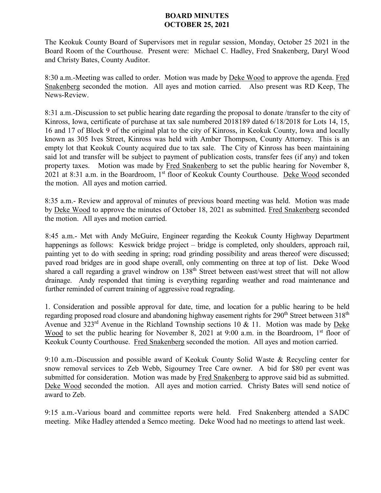## **BOARD MINUTES OCTOBER 25, 2021**

The Keokuk County Board of Supervisors met in regular session, Monday, October 25 2021 in the Board Room of the Courthouse. Present were: Michael C. Hadley, Fred Snakenberg, Daryl Wood and Christy Bates, County Auditor.

8:30 a.m.-Meeting was called to order. Motion was made by Deke Wood to approve the agenda. Fred Snakenberg seconded the motion. All ayes and motion carried. Also present was RD Keep, The News-Review.

8:31 a.m.-Discussion to set public hearing date regarding the proposal to donate /transfer to the city of Kinross, Iowa, certificate of purchase at tax sale numbered 2018189 dated 6/18/2018 for Lots 14, 15, 16 and 17 of Block 9 of the original plat to the city of Kinross, in Keokuk County, Iowa and locally known as 305 Ives Street, Kinross was held with Amber Thompson, County Attorney. This is an empty lot that Keokuk County acquired due to tax sale. The City of Kinross has been maintaining said lot and transfer will be subject to payment of publication costs, transfer fees (if any) and token property taxes. Motion was made by Fred Snakenberg to set the public hearing for November 8, 2021 at 8:31 a.m. in the Boardroom, 1st floor of Keokuk County Courthouse. Deke Wood seconded the motion. All ayes and motion carried.

8:35 a.m.- Review and approval of minutes of previous board meeting was held. Motion was made by Deke Wood to approve the minutes of October 18, 2021 as submitted. Fred Snakenberg seconded the motion. All ayes and motion carried.

8:45 a.m.- Met with Andy McGuire, Engineer regarding the Keokuk County Highway Department happenings as follows: Keswick bridge project – bridge is completed, only shoulders, approach rail, painting yet to do with seeding in spring; road grinding possibility and areas thereof were discussed; paved road bridges are in good shape overall, only commenting on three at top of list. Deke Wood shared a call regarding a gravel windrow on 138<sup>th</sup> Street between east/west street that will not allow drainage. Andy responded that timing is everything regarding weather and road maintenance and further reminded of current training of aggressive road regrading.

1. Consideration and possible approval for date, time, and location for a public hearing to be held regarding proposed road closure and abandoning highway easement rights for 290<sup>th</sup> Street between 318<sup>th</sup> Avenue and  $323<sup>rd</sup>$  Avenue in the Richland Township sections 10 & 11. Motion was made by Deke Wood to set the public hearing for November 8, 2021 at 9:00 a.m. in the Boardroom, 1<sup>st</sup> floor of Keokuk County Courthouse. Fred Snakenberg seconded the motion. All ayes and motion carried.

9:10 a.m.-Discussion and possible award of Keokuk County Solid Waste & Recycling center for snow removal services to Zeb Webb, Sigourney Tree Care owner. A bid for \$80 per event was submitted for consideration. Motion was made by Fred Snakenberg to approve said bid as submitted. Deke Wood seconded the motion. All ayes and motion carried. Christy Bates will send notice of award to Zeb.

9:15 a.m.-Various board and committee reports were held. Fred Snakenberg attended a SADC meeting. Mike Hadley attended a Semco meeting. Deke Wood had no meetings to attend last week.